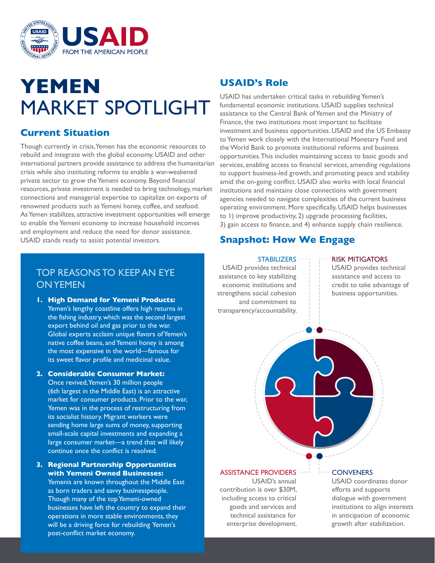

# **YEMEN** MARKET SPOTLIGHT

## **Current Situation**

Though currently in crisis, Yemen has the economic resources to rebuild and integrate with the global economy. USAID and other international partners provide assistance to address the humanitarian crisis while also instituting reforms to enable a war-weakened private sector to grow the Yemeni economy. Beyond financial resources, private investment is needed to bring technology, market connections and managerial expertise to capitalize on exports of renowned products such as Yemeni honey, coffee, and seafood. As Yemen stabilizes, attractive investment opportunities will emerge to enable the Yemeni economy to increase household incomes and employment and reduce the need for donor assistance. USAID stands ready to assist potential investors.

## TOP REASONS TO KEEP AN EYE **ON YEMEN**

- **1. High Demand for Yemeni Products:**  Yemen's lengthy coastline offers high returns in the fishing industry, which was the second largest export behind oil and gas prior to the war. Global experts acclaim unique flavors of Yemen's native coffee beans, and Yemeni honey is among the most expensive in the world—famous for its sweet flavor profile and medicinal value.
- **2. Considerable Consumer Market:**  Once revived, Yemen's 30 million people (6th largest in the Middle East) is an attractive market for consumer products. Prior to the war, Yemen was in the process of restructuring from its socialist history. Migrant workers were sending home large sums of money, supporting small-scale capital investments and expanding a large consumer market—a trend that will likely continue once the conflict is resolved.
- **3. Regional Partnership Opportunities with Yemeni Owned Businesses:**

Yemenis are known throughout the Middle East as born traders and savvy businesspeople. Though many of the top Yemeni-owned businesses have left the country to expand their operations in more stable environments, they will be a driving force for rebuilding Yemen's post-conflict market economy.

## **USAID's Role**

USAID has undertaken critical tasks in rebuilding Yemen's fundamental economic institutions. USAID supplies technical assistance to the Central Bank of Yemen and the Ministry of Finance, the two institutions most important to facilitate investment and business opportunities. USAID and the US Embassy to Yemen work closely with the International Monetary Fund and the World Bank to promote institutional reforms and business opportunities. This includes maintaining access to basic goods and services, enabling access to financial services, amending regulations to support business-led growth, and promoting peace and stability amid the on-going conflict. USAID also works with local financial institutions and maintains close connections with government agencies needed to navigate complexities of the current business operating environment. More specifically, USAID helps businesses to 1) improve productivity, 2) upgrade processing facilities, 3) gain access to finance, and 4) enhance supply chain resilience.

## **Snapshot: How We Engage**

#### **STABILIZERS**

USAID provides technical assistance to key stabilizing economic institutions and strengthens social cohesion and commitment to transparency/accountability. RISK MITIGATORS

USAID provides technical assistance and access to credit to take advantage of business opportunities.

#### ASSISTANCE PROVIDERS

USAID's annual contribution is over \$30M, including access to critical goods and services and technical assistance for enterprise development.

#### **CONVENERS**

USAID coordinates donor efforts and supports dialogue with government institutions to align interests in anticipation of economic growth after stabilization.